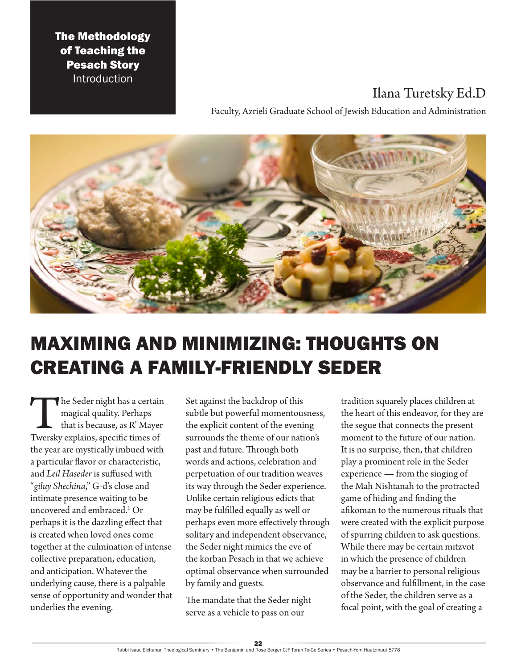### The Methodology of Teaching the Pesach Story Introduction

## Ilana Turetsky Ed.D

Faculty, Azrieli Graduate School of Jewish Education and Administration



# MAXIMING AND MINIMIZING: THOUGHTS ON CREATING A FAMILY-FRIENDLY SEDER

The Seder night has a certain<br>
magical quality. Perhaps<br>
that is because, as R' Mayer<br>
Twersky explains, specific times of magical quality. Perhaps that is because, as R' Mayer the year are mystically imbued with a particular flavor or characteristic, and *Leil Haseder* is suffused with "*giluy Shechina*," G-d's close and intimate presence waiting to be uncovered and embraced.1 Or perhaps it is the dazzling effect that is created when loved ones come together at the culmination of intense collective preparation, education, and anticipation. Whatever the underlying cause, there is a palpable sense of opportunity and wonder that underlies the evening.

Set against the backdrop of this subtle but powerful momentousness, the explicit content of the evening surrounds the theme of our nation's past and future. Through both words and actions, celebration and perpetuation of our tradition weaves its way through the Seder experience. Unlike certain religious edicts that may be fulfilled equally as well or perhaps even more effectively through solitary and independent observance, the Seder night mimics the eve of the korban Pesach in that we achieve optimal observance when surrounded by family and guests.

The mandate that the Seder night serve as a vehicle to pass on our

tradition squarely places children at the heart of this endeavor, for they are the segue that connects the present moment to the future of our nation. It is no surprise, then, that children play a prominent role in the Seder experience — from the singing of the Mah Nishtanah to the protracted game of hiding and finding the afikoman to the numerous rituals that were created with the explicit purpose of spurring children to ask questions. While there may be certain mitzvot in which the presence of children may be a barrier to personal religious observance and fulfillment, in the case of the Seder, the children serve as a focal point, with the goal of creating a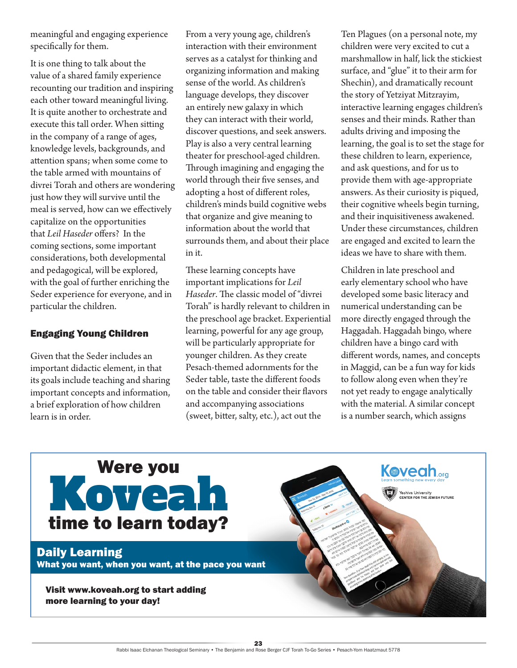meaningful and engaging experience specifically for them.

It is one thing to talk about the value of a shared family experience recounting our tradition and inspiring each other toward meaningful living. It is quite another to orchestrate and execute this tall order. When sitting in the company of a range of ages, knowledge levels, backgrounds, and attention spans; when some come to the table armed with mountains of divrei Torah and others are wondering just how they will survive until the meal is served, how can we effectively capitalize on the opportunities that *Leil Haseder* offers? In the coming sections, some important considerations, both developmental and pedagogical, will be explored, with the goal of further enriching the Seder experience for everyone, and in particular the children.

#### Engaging Young Children

Given that the Seder includes an important didactic element, in that its goals include teaching and sharing important concepts and information, a brief exploration of how children learn is in order.

From a very young age, children's interaction with their environment serves as a catalyst for thinking and organizing information and making sense of the world. As children's language develops, they discover an entirely new galaxy in which they can interact with their world, discover questions, and seek answers. Play is also a very central learning theater for preschool-aged children. Through imagining and engaging the world through their five senses, and adopting a host of different roles, children's minds build cognitive webs that organize and give meaning to information about the world that surrounds them, and about their place in it.

These learning concepts have important implications for *Leil Haseder*. The classic model of "divrei Torah" is hardly relevant to children in the preschool age bracket. Experiential learning, powerful for any age group, will be particularly appropriate for younger children. As they create Pesach-themed adornments for the Seder table, taste the different foods on the table and consider their flavors and accompanying associations (sweet, bitter, salty, etc.), act out the

Ten Plagues (on a personal note, my children were very excited to cut a marshmallow in half, lick the stickiest surface, and "glue" it to their arm for Shechin), and dramatically recount the story of Yetziyat Mitzrayim, interactive learning engages children's senses and their minds. Rather than adults driving and imposing the learning, the goal is to set the stage for these children to learn, experience, and ask questions, and for us to provide them with age-appropriate answers. As their curiosity is piqued, their cognitive wheels begin turning, and their inquisitiveness awakened. Under these circumstances, children are engaged and excited to learn the ideas we have to share with them.

Children in late preschool and early elementary school who have developed some basic literacy and numerical understanding can be more directly engaged through the Haggadah. Haggadah bingo, where children have a bingo card with different words, names, and concepts in Maggid, can be a fun way for kids to follow along even when they're not yet ready to engage analytically with the material. A similar concept is a number search, which assigns

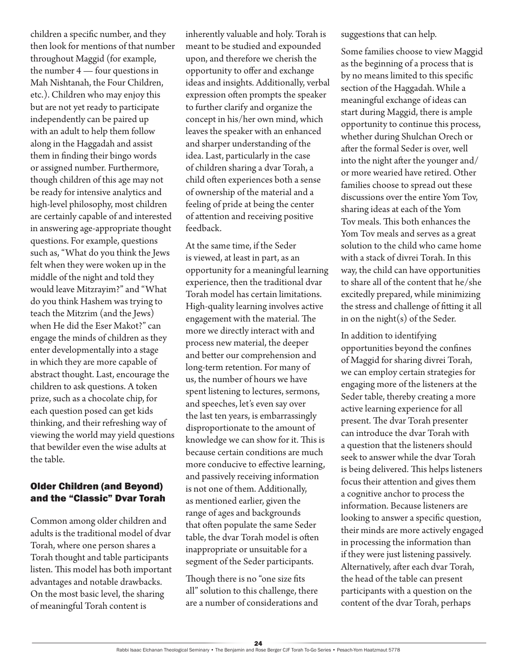children a specific number, and they then look for mentions of that number throughout Maggid (for example, the number 4 — four questions in Mah Nishtanah, the Four Children, etc.). Children who may enjoy this but are not yet ready to participate independently can be paired up with an adult to help them follow along in the Haggadah and assist them in finding their bingo words or assigned number. Furthermore, though children of this age may not be ready for intensive analytics and high-level philosophy, most children are certainly capable of and interested in answering age-appropriate thought questions. For example, questions such as, "What do you think the Jews felt when they were woken up in the middle of the night and told they would leave Mitzrayim?" and "What do you think Hashem was trying to teach the Mitzrim (and the Jews) when He did the Eser Makot?" can engage the minds of children as they enter developmentally into a stage in which they are more capable of abstract thought. Last, encourage the children to ask questions. A token prize, such as a chocolate chip, for each question posed can get kids thinking, and their refreshing way of viewing the world may yield questions that bewilder even the wise adults at the table.

#### Older Children (and Beyond) and the "Classic" Dvar Torah

Common among older children and adults is the traditional model of dvar Torah, where one person shares a Torah thought and table participants listen. This model has both important advantages and notable drawbacks. On the most basic level, the sharing of meaningful Torah content is

inherently valuable and holy. Torah is meant to be studied and expounded upon, and therefore we cherish the opportunity to offer and exchange ideas and insights. Additionally, verbal expression often prompts the speaker to further clarify and organize the concept in his/her own mind, which leaves the speaker with an enhanced and sharper understanding of the idea. Last, particularly in the case of children sharing a dvar Torah, a child often experiences both a sense of ownership of the material and a feeling of pride at being the center of attention and receiving positive feedback.

At the same time, if the Seder is viewed, at least in part, as an opportunity for a meaningful learning experience, then the traditional dvar Torah model has certain limitations. High-quality learning involves active engagement with the material. The more we directly interact with and process new material, the deeper and better our comprehension and long-term retention. For many of us, the number of hours we have spent listening to lectures, sermons, and speeches, let's even say over the last ten years, is embarrassingly disproportionate to the amount of knowledge we can show for it. This is because certain conditions are much more conducive to effective learning, and passively receiving information is not one of them. Additionally, as mentioned earlier, given the range of ages and backgrounds that often populate the same Seder table, the dvar Torah model is often inappropriate or unsuitable for a segment of the Seder participants.

Though there is no "one size fits all" solution to this challenge, there are a number of considerations and suggestions that can help.

Some families choose to view Maggid as the beginning of a process that is by no means limited to this specific section of the Haggadah. While a meaningful exchange of ideas can start during Maggid, there is ample opportunity to continue this process, whether during Shulchan Orech or after the formal Seder is over, well into the night after the younger and/ or more wearied have retired. Other families choose to spread out these discussions over the entire Yom Tov, sharing ideas at each of the Yom Tov meals. This both enhances the Yom Tov meals and serves as a great solution to the child who came home with a stack of divrei Torah. In this way, the child can have opportunities to share all of the content that he/she excitedly prepared, while minimizing the stress and challenge of fitting it all in on the night(s) of the Seder.

In addition to identifying opportunities beyond the confines of Maggid for sharing divrei Torah, we can employ certain strategies for engaging more of the listeners at the Seder table, thereby creating a more active learning experience for all present. The dvar Torah presenter can introduce the dvar Torah with a question that the listeners should seek to answer while the dvar Torah is being delivered. This helps listeners focus their attention and gives them a cognitive anchor to process the information. Because listeners are looking to answer a specific question, their minds are more actively engaged in processing the information than if they were just listening passively. Alternatively, after each dvar Torah, the head of the table can present participants with a question on the content of the dvar Torah, perhaps